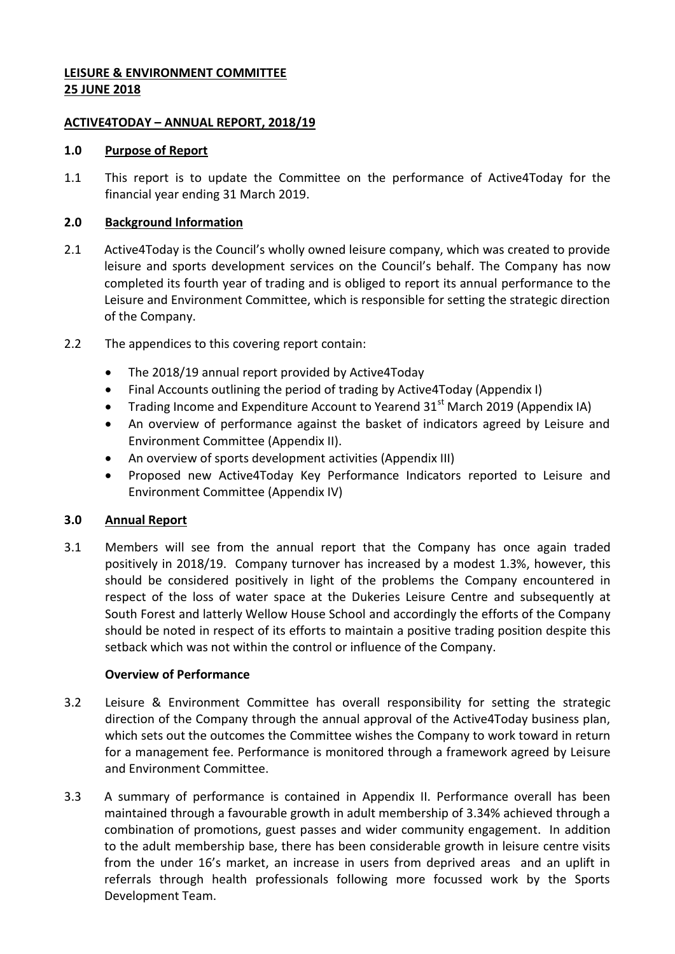# **LEISURE & ENVIRONMENT COMMITTEE 25 JUNE 2018**

### **ACTIVE4TODAY – ANNUAL REPORT, 2018/19**

### **1.0 Purpose of Report**

1.1 This report is to update the Committee on the performance of Active4Today for the financial year ending 31 March 2019.

## **2.0 Background Information**

- 2.1 Active4Today is the Council's wholly owned leisure company, which was created to provide leisure and sports development services on the Council's behalf. The Company has now completed its fourth year of trading and is obliged to report its annual performance to the Leisure and Environment Committee, which is responsible for setting the strategic direction of the Company.
- 2.2 The appendices to this covering report contain:
	- The 2018/19 annual report provided by Active4Today
	- Final Accounts outlining the period of trading by Active4Today (Appendix I)
	- Trading Income and Expenditure Account to Yearend 31<sup>st</sup> March 2019 (Appendix IA)
	- An overview of performance against the basket of indicators agreed by Leisure and Environment Committee (Appendix II).
	- An overview of sports development activities (Appendix III)
	- Proposed new Active4Today Key Performance Indicators reported to Leisure and Environment Committee (Appendix IV)

# **3.0 Annual Report**

3.1 Members will see from the annual report that the Company has once again traded positively in 2018/19. Company turnover has increased by a modest 1.3%, however, this should be considered positively in light of the problems the Company encountered in respect of the loss of water space at the Dukeries Leisure Centre and subsequently at South Forest and latterly Wellow House School and accordingly the efforts of the Company should be noted in respect of its efforts to maintain a positive trading position despite this setback which was not within the control or influence of the Company.

# **Overview of Performance**

- 3.2 Leisure & Environment Committee has overall responsibility for setting the strategic direction of the Company through the annual approval of the Active4Today business plan, which sets out the outcomes the Committee wishes the Company to work toward in return for a management fee. Performance is monitored through a framework agreed by Leisure and Environment Committee.
- 3.3 A summary of performance is contained in Appendix II. Performance overall has been maintained through a favourable growth in adult membership of 3.34% achieved through a combination of promotions, guest passes and wider community engagement. In addition to the adult membership base, there has been considerable growth in leisure centre visits from the under 16's market, an increase in users from deprived areas and an uplift in referrals through health professionals following more focussed work by the Sports Development Team.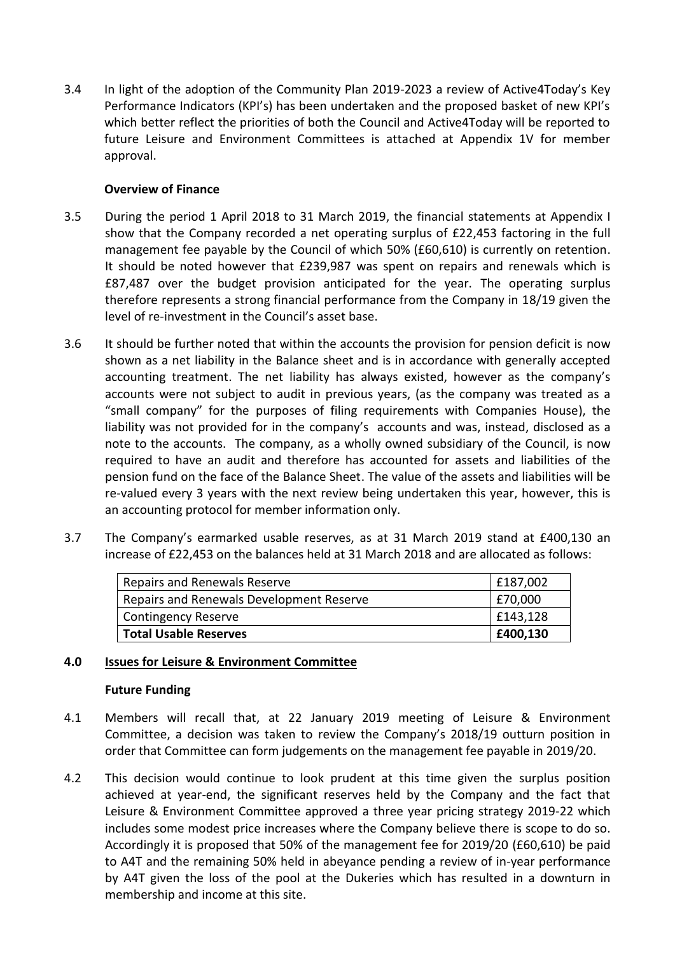3.4 In light of the adoption of the Community Plan 2019-2023 a review of Active4Today's Key Performance Indicators (KPI's) has been undertaken and the proposed basket of new KPI's which better reflect the priorities of both the Council and Active4Today will be reported to future Leisure and Environment Committees is attached at Appendix 1V for member approval.

## **Overview of Finance**

- 3.5 During the period 1 April 2018 to 31 March 2019, the financial statements at Appendix I show that the Company recorded a net operating surplus of £22,453 factoring in the full management fee payable by the Council of which 50% (£60,610) is currently on retention. It should be noted however that £239,987 was spent on repairs and renewals which is £87,487 over the budget provision anticipated for the year. The operating surplus therefore represents a strong financial performance from the Company in 18/19 given the level of re-investment in the Council's asset base.
- 3.6 It should be further noted that within the accounts the provision for pension deficit is now shown as a net liability in the Balance sheet and is in accordance with generally accepted accounting treatment. The net liability has always existed, however as the company's accounts were not subject to audit in previous years, (as the company was treated as a "small company" for the purposes of filing requirements with Companies House), the liability was not provided for in the company's accounts and was, instead, disclosed as a note to the accounts. The company, as a wholly owned subsidiary of the Council, is now required to have an audit and therefore has accounted for assets and liabilities of the pension fund on the face of the Balance Sheet. The value of the assets and liabilities will be re-valued every 3 years with the next review being undertaken this year, however, this is an accounting protocol for member information only.
- 3.7 The Company's earmarked usable reserves, as at 31 March 2019 stand at £400,130 an increase of £22,453 on the balances held at 31 March 2018 and are allocated as follows:

| Repairs and Renewals Reserve             | £187,002 |
|------------------------------------------|----------|
| Repairs and Renewals Development Reserve | £70,000  |
| <b>Contingency Reserve</b>               | £143,128 |
| <b>Total Usable Reserves</b>             | £400,130 |

# **4.0 Issues for Leisure & Environment Committee**

#### **Future Funding**

- 4.1 Members will recall that, at 22 January 2019 meeting of Leisure & Environment Committee, a decision was taken to review the Company's 2018/19 outturn position in order that Committee can form judgements on the management fee payable in 2019/20.
- 4.2 This decision would continue to look prudent at this time given the surplus position achieved at year-end, the significant reserves held by the Company and the fact that Leisure & Environment Committee approved a three year pricing strategy 2019-22 which includes some modest price increases where the Company believe there is scope to do so. Accordingly it is proposed that 50% of the management fee for 2019/20 (£60,610) be paid to A4T and the remaining 50% held in abeyance pending a review of in-year performance by A4T given the loss of the pool at the Dukeries which has resulted in a downturn in membership and income at this site.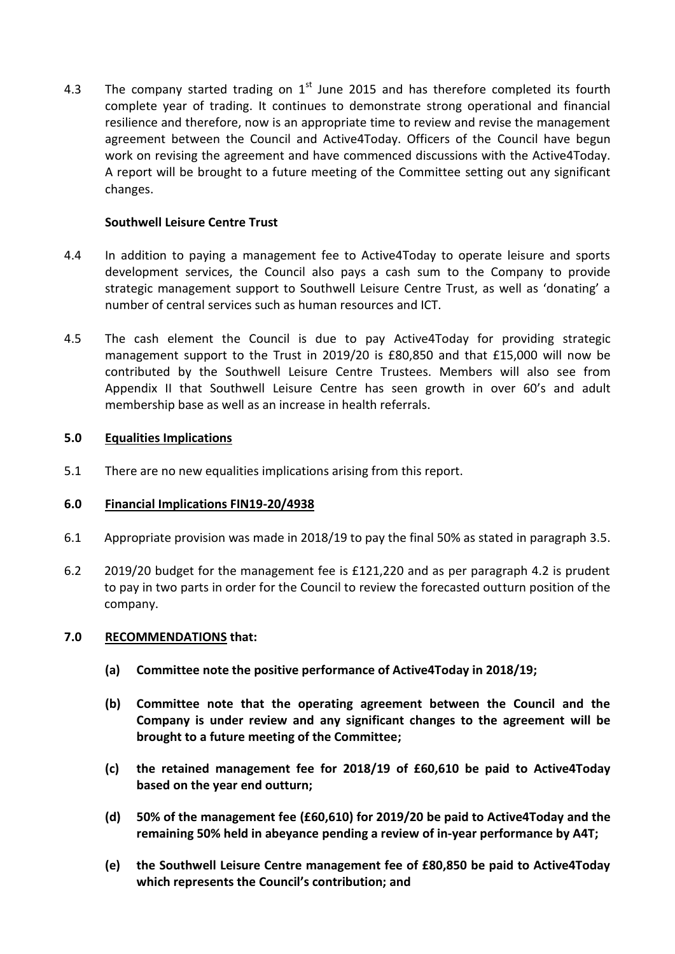4.3 The company started trading on  $1<sup>st</sup>$  June 2015 and has therefore completed its fourth complete year of trading. It continues to demonstrate strong operational and financial resilience and therefore, now is an appropriate time to review and revise the management agreement between the Council and Active4Today. Officers of the Council have begun work on revising the agreement and have commenced discussions with the Active4Today. A report will be brought to a future meeting of the Committee setting out any significant changes.

### **Southwell Leisure Centre Trust**

- 4.4 In addition to paying a management fee to Active4Today to operate leisure and sports development services, the Council also pays a cash sum to the Company to provide strategic management support to Southwell Leisure Centre Trust, as well as 'donating' a number of central services such as human resources and ICT.
- 4.5 The cash element the Council is due to pay Active4Today for providing strategic management support to the Trust in 2019/20 is £80,850 and that £15,000 will now be contributed by the Southwell Leisure Centre Trustees. Members will also see from Appendix II that Southwell Leisure Centre has seen growth in over 60's and adult membership base as well as an increase in health referrals.

## **5.0 Equalities Implications**

5.1 There are no new equalities implications arising from this report.

#### **6.0 Financial Implications FIN19-20/4938**

- 6.1 Appropriate provision was made in 2018/19 to pay the final 50% as stated in paragraph 3.5.
- 6.2 2019/20 budget for the management fee is £121,220 and as per paragraph 4.2 is prudent to pay in two parts in order for the Council to review the forecasted outturn position of the company.

#### **7.0 RECOMMENDATIONS that:**

- **(a) Committee note the positive performance of Active4Today in 2018/19;**
- **(b) Committee note that the operating agreement between the Council and the Company is under review and any significant changes to the agreement will be brought to a future meeting of the Committee;**
- **(c) the retained management fee for 2018/19 of £60,610 be paid to Active4Today based on the year end outturn;**
- **(d) 50% of the management fee (£60,610) for 2019/20 be paid to Active4Today and the remaining 50% held in abeyance pending a review of in-year performance by A4T;**
- **(e) the Southwell Leisure Centre management fee of £80,850 be paid to Active4Today which represents the Council's contribution; and**